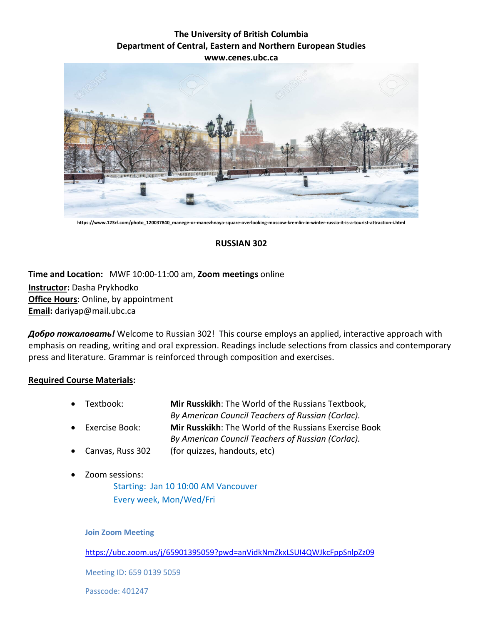## **The University of British Columbia Department of Central, Eastern and Northern European Studies www.cenes.ubc.ca**



**https://www.123rf.com/photo\_120037840\_manege-or-manezhnaya-square-overlooking-moscow-kremlin-in-winter-russia-it-is-a-tourist-attraction-i.html**

## **RUSSIAN 302**

# **Time and Location:** MWF 10:00-11:00 am, **Zoom meetings** online **Instructor:** Dasha Prykhodko **Office Hours**: Online, by appointment **Email:** dariyap@mail.ubc.ca

*Добро пожаловать!* Welcome to Russian 302! This course employs an applied, interactive approach with emphasis on reading, writing and oral expression. Readings include selections from classics and contemporary press and literature. Grammar is reinforced through composition and exercises.

#### **Required Course Materials:**

- Textbook: **Mir Russkikh**: The World of the Russians Textbook, *By American Council Teachers of Russian (Corlac).*
- Exercise Book: **Mir Russkikh**: The World of the Russians Exercise Book
	- *By American Council Teachers of Russian (Corlac).*
- Canvas, Russ 302 (for quizzes, handouts, etc)
- Zoom sessions:

Starting: Jan 10 10:00 AM Vancouver Every week, Mon/Wed/Fri

#### **Join Zoom Meeting**

<https://ubc.zoom.us/j/65901395059?pwd=anVidkNmZkxLSUI4QWJkcFppSnlpZz09>

Meeting ID: 659 0139 5059

Passcode: 401247